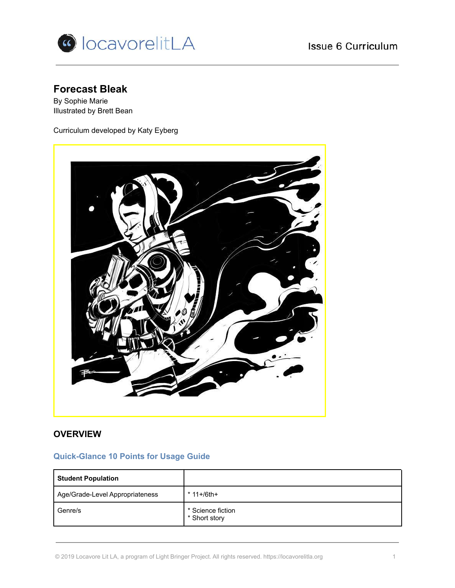



# **Forecast Bleak**

By Sophie Marie Illustrated by Brett Bean

Curriculum developed by Katy Eyberg



# **OVERVIEW**

# **Quick-Glance 10 Points for Usage Guide**

| <b>Student Population</b>       |                                    |
|---------------------------------|------------------------------------|
| Age/Grade-Level Appropriateness | $*$ 11+/6th+                       |
| Genre/s                         | * Science fiction<br>* Short story |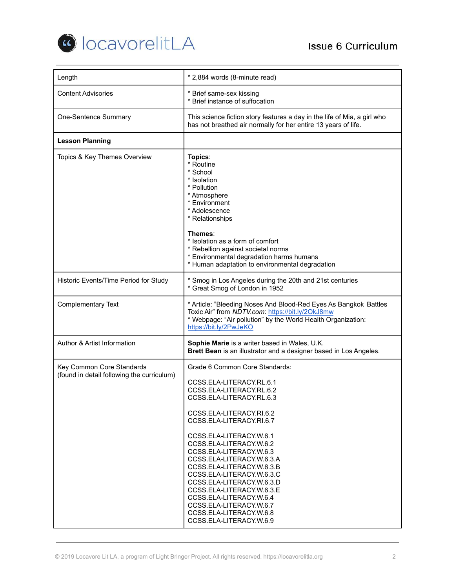

| Length                                                                  | * 2,884 words (8-minute read)                                                                                                                                                                                                                                                                                                                                                                                                                                                                                            |  |
|-------------------------------------------------------------------------|--------------------------------------------------------------------------------------------------------------------------------------------------------------------------------------------------------------------------------------------------------------------------------------------------------------------------------------------------------------------------------------------------------------------------------------------------------------------------------------------------------------------------|--|
| <b>Content Advisories</b>                                               | * Brief same-sex kissing<br>* Brief instance of suffocation                                                                                                                                                                                                                                                                                                                                                                                                                                                              |  |
| One-Sentence Summary                                                    | This science fiction story features a day in the life of Mia, a girl who<br>has not breathed air normally for her entire 13 years of life.                                                                                                                                                                                                                                                                                                                                                                               |  |
| <b>Lesson Planning</b>                                                  |                                                                                                                                                                                                                                                                                                                                                                                                                                                                                                                          |  |
| Topics & Key Themes Overview                                            | Topics:<br>* Routine<br>* School<br>* Isolation<br>* Pollution<br>* Atmosphere<br>* Environment<br>* Adolescence<br>* Relationships<br>Themes:<br>* Isolation as a form of comfort<br>* Rebellion against societal norms<br>* Environmental degradation harms humans<br>* Human adaptation to environmental degradation                                                                                                                                                                                                  |  |
| Historic Events/Time Period for Study                                   | * Smog in Los Angeles during the 20th and 21st centuries<br>* Great Smog of London in 1952                                                                                                                                                                                                                                                                                                                                                                                                                               |  |
| <b>Complementary Text</b>                                               | * Article: "Bleeding Noses And Blood-Red Eyes As Bangkok Battles<br>Toxic Air" from NDTV.com: https://bit.ly/2OkJ8mw<br>* Webpage: "Air pollution" by the World Health Organization:<br>https://bit.ly/2PwJeKO                                                                                                                                                                                                                                                                                                           |  |
| Author & Artist Information                                             | Sophie Marie is a writer based in Wales, U.K.<br>Brett Bean is an illustrator and a designer based in Los Angeles.                                                                                                                                                                                                                                                                                                                                                                                                       |  |
| Key Common Core Standards<br>(found in detail following the curriculum) | Grade 6 Common Core Standards:<br>CCSS.ELA-LITERACY.RL.6.1<br>CCSS.ELA-LITERACY.RL.6.2<br>CCSS.ELA-LITERACY.RL.6.3<br>CCSS.ELA-LITERACY.RI.6.2<br>CCSS.ELA-LITERACY.RI.6.7<br>CCSS.ELA-LITERACY.W.6.1<br>CCSS.ELA-LITERACY.W.6.2<br>CCSS.ELA-LITERACY.W.6.3<br>CCSS.ELA-LITERACY.W.6.3.A<br>CCSS.ELA-LITERACY.W.6.3.B<br>CCSS.ELA-LITERACY.W.6.3.C<br>CCSS.ELA-LITERACY.W.6.3.D<br>CCSS.ELA-LITERACY.W.6.3.E<br>CCSS.ELA-LITERACY.W.6.4<br>CCSS.ELA-LITERACY.W.6.7<br>CCSS.ELA-LITERACY.W.6.8<br>CCSS.ELA-LITERACY.W.6.9 |  |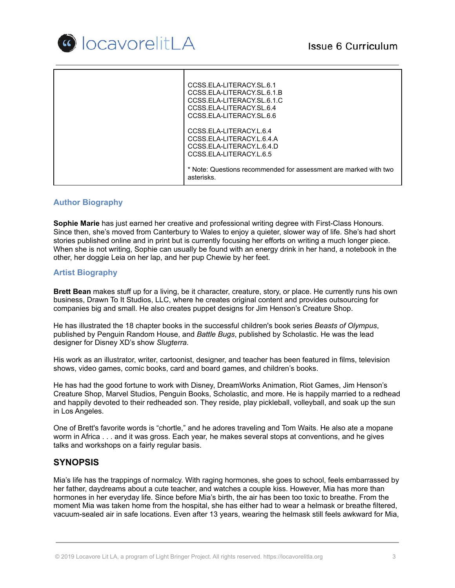

| CCSS.ELA-LITERACY.SL.6.1<br>CCSS.ELA-LITERACY.SL.6.1.B<br>CCSS.ELA-LITERACY.SL.6.1.C<br>CCSS.ELA-LITERACY.SL.6.4<br>CCSS.ELA-LITERACY.SL.6.6 |
|----------------------------------------------------------------------------------------------------------------------------------------------|
| CCSS.ELA-LITERACY.L.6.4<br>CCSS.ELA-LITERACY.L.6.4.A<br>CCSS.ELA-LITERACY.L.6.4.D<br>CCSS.ELA-LITERACY.L.6.5                                 |
| * Note: Questions recommended for assessment are marked with two<br>asterisks.                                                               |

### **Author Biography**

**Sophie Marie** has just earned her creative and professional writing degree with First-Class Honours. Since then, she's moved from Canterbury to Wales to enjoy a quieter, slower way of life. She's had short stories published online and in print but is currently focusing her efforts on writing a much longer piece. When she is not writing, Sophie can usually be found with an energy drink in her hand, a notebook in the other, her doggie Leia on her lap, and her pup Chewie by her feet.

### **Artist Biography**

**Brett Bean** makes stuff up for a living, be it character, creature, story, or place. He currently runs his own business, Drawn To It Studios, LLC, where he creates original content and provides outsourcing for companies big and small. He also creates puppet designs for Jim Henson's Creature Shop.

He has illustrated the 18 chapter books in the successful children's book series *Beasts of Olympus*, published by Penguin Random House, and *Battle Bugs*, published by Scholastic. He was the lead designer for Disney XD's show *Slugterra*.

His work as an illustrator, writer, cartoonist, designer, and teacher has been featured in films, television shows, video games, comic books, card and board games, and children's books.

He has had the good fortune to work with Disney, DreamWorks Animation, Riot Games, Jim Henson's Creature Shop, Marvel Studios, Penguin Books, Scholastic, and more. He is happily married to a redhead and happily devoted to their redheaded son. They reside, play pickleball, volleyball, and soak up the sun in Los Angeles.

One of Brett's favorite words is "chortle," and he adores traveling and Tom Waits. He also ate a mopane worm in Africa . . . and it was gross. Each year, he makes several stops at conventions, and he gives talks and workshops on a fairly regular basis.

# **SYNOPSIS**

Mia's life has the trappings of normalcy. With raging hormones, she goes to school, feels embarrassed by her father, daydreams about a cute teacher, and watches a couple kiss. However, Mia has more than hormones in her everyday life. Since before Mia's birth, the air has been too toxic to breathe. From the moment Mia was taken home from the hospital, she has either had to wear a helmask or breathe filtered, vacuum-sealed air in safe locations. Even after 13 years, wearing the helmask still feels awkward for Mia,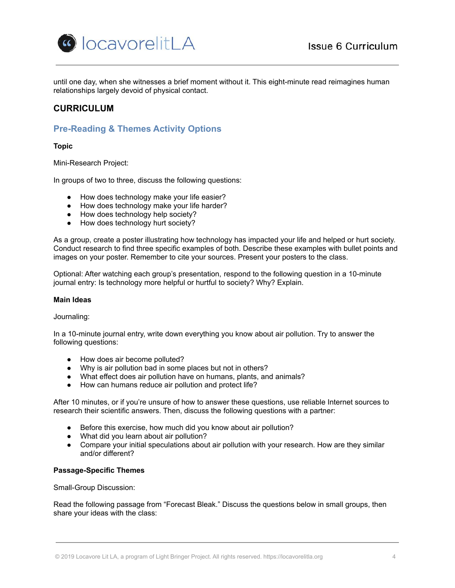

until one day, when she witnesses a brief moment without it. This eight-minute read reimagines human relationships largely devoid of physical contact.

# **CURRICULUM**

# **Pre-Reading & Themes Activity Options**

**Topic**

Mini-Research Project:

In groups of two to three, discuss the following questions:

- How does technology make your life easier?
- How does technology make your life harder?
- How does technology help society?
- How does technology hurt society?

As a group, create a poster illustrating how technology has impacted your life and helped or hurt society. Conduct research to find three specific examples of both. Describe these examples with bullet points and images on your poster. Remember to cite your sources. Present your posters to the class.

Optional: After watching each group's presentation, respond to the following question in a 10-minute journal entry: Is technology more helpful or hurtful to society? Why? Explain.

### **Main Ideas**

#### Journaling:

In a 10-minute journal entry, write down everything you know about air pollution. Try to answer the following questions:

- How does air become polluted?
- Why is air pollution bad in some places but not in others?
- What effect does air pollution have on humans, plants, and animals?
- How can humans reduce air pollution and protect life?

After 10 minutes, or if you're unsure of how to answer these questions, use reliable Internet sources to research their scientific answers. Then, discuss the following questions with a partner:

- Before this exercise, how much did you know about air pollution?
- What did you learn about air pollution?
- Compare your initial speculations about air pollution with your research. How are they similar and/or different?

### **Passage-Specific Themes**

Small-Group Discussion:

Read the following passage from "Forecast Bleak." Discuss the questions below in small groups, then share your ideas with the class: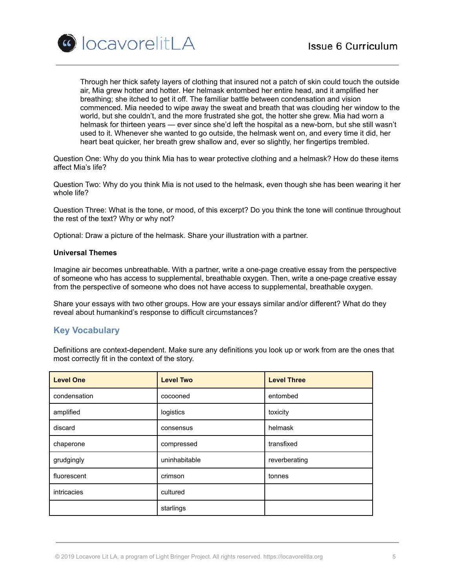



Through her thick safety layers of clothing that insured not a patch of skin could touch the outside air, Mia grew hotter and hotter. Her helmask entombed her entire head, and it amplified her breathing; she itched to get it off. The familiar battle between condensation and vision commenced. Mia needed to wipe away the sweat and breath that was clouding her window to the world, but she couldn't, and the more frustrated she got, the hotter she grew. Mia had worn a helmask for thirteen years — ever since she'd left the hospital as a new-born, but she still wasn't used to it. Whenever she wanted to go outside, the helmask went on, and every time it did, her heart beat quicker, her breath grew shallow and, ever so slightly, her fingertips trembled.

Question One: Why do you think Mia has to wear protective clothing and a helmask? How do these items affect Mia's life?

Question Two: Why do you think Mia is not used to the helmask, even though she has been wearing it her whole life?

Question Three: What is the tone, or mood, of this excerpt? Do you think the tone will continue throughout the rest of the text? Why or why not?

Optional: Draw a picture of the helmask. Share your illustration with a partner.

#### **Universal Themes**

Imagine air becomes unbreathable. With a partner, write a one-page creative essay from the perspective of someone who has access to supplemental, breathable oxygen. Then, write a one-page creative essay from the perspective of someone who does not have access to supplemental, breathable oxygen.

Share your essays with two other groups. How are your essays similar and/or different? What do they reveal about humankind's response to difficult circumstances?

### **Key Vocabulary**

Definitions are context-dependent. Make sure any definitions you look up or work from are the ones that most correctly fit in the context of the story.

| <b>Level One</b> | <b>Level Two</b> | <b>Level Three</b> |
|------------------|------------------|--------------------|
| condensation     | cocooned         | entombed           |
| amplified        | logistics        | toxicity           |
| discard          | consensus        | helmask            |
| chaperone        | compressed       | transfixed         |
| grudgingly       | uninhabitable    | reverberating      |
| fluorescent      | crimson          | tonnes             |
| intricacies      | cultured         |                    |
|                  | starlings        |                    |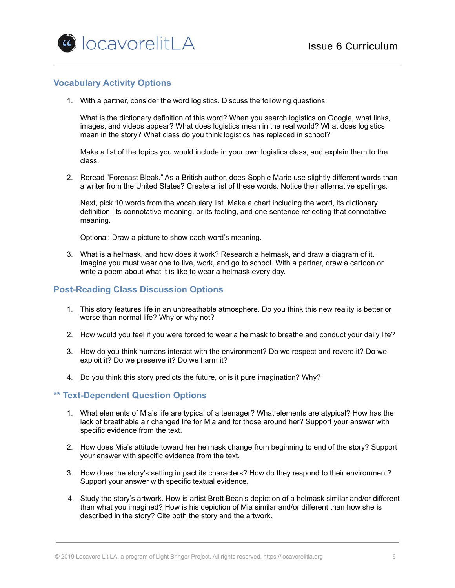# **Vocabulary Activity Options**

1. With a partner, consider the word logistics. Discuss the following questions:

What is the dictionary definition of this word? When you search logistics on Google, what links, images, and videos appear? What does logistics mean in the real world? What does logistics mean in the story? What class do you think logistics has replaced in school?

Make a list of the topics you would include in your own logistics class, and explain them to the class.

2. Reread "Forecast Bleak." As a British author, does Sophie Marie use slightly different words than a writer from the United States? Create a list of these words. Notice their alternative spellings.

Next, pick 10 words from the vocabulary list. Make a chart including the word, its dictionary definition, its connotative meaning, or its feeling, and one sentence reflecting that connotative meaning.

Optional: Draw a picture to show each word's meaning.

3. What is a helmask, and how does it work? Research a helmask, and draw a diagram of it. Imagine you must wear one to live, work, and go to school. With a partner, draw a cartoon or write a poem about what it is like to wear a helmask every day.

# **Post-Reading Class Discussion Options**

- 1. This story features life in an unbreathable atmosphere. Do you think this new reality is better or worse than normal life? Why or why not?
- 2. How would you feel if you were forced to wear a helmask to breathe and conduct your daily life?
- 3. How do you think humans interact with the environment? Do we respect and revere it? Do we exploit it? Do we preserve it? Do we harm it?
- 4. Do you think this story predicts the future, or is it pure imagination? Why?

### **\*\* Text-Dependent Question Options**

- 1. What elements of Mia's life are typical of a teenager? What elements are atypical? How has the lack of breathable air changed life for Mia and for those around her? Support your answer with specific evidence from the text.
- 2. How does Mia's attitude toward her helmask change from beginning to end of the story? Support your answer with specific evidence from the text.
- 3. How does the story's setting impact its characters? How do they respond to their environment? Support your answer with specific textual evidence.
- 4. Study the story's artwork. How is artist Brett Bean's depiction of a helmask similar and/or different than what you imagined? How is his depiction of Mia similar and/or different than how she is described in the story? Cite both the story and the artwork.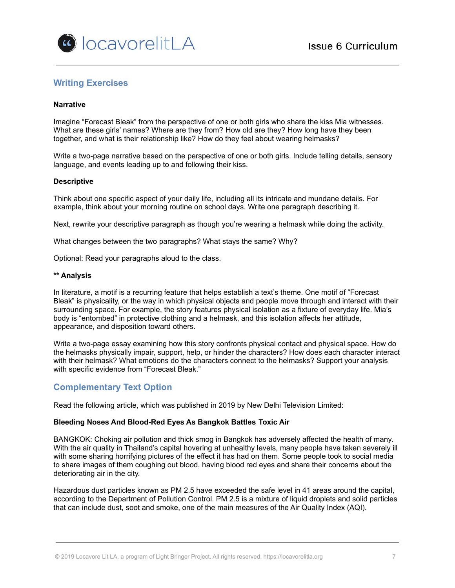

# **Writing Exercises**

### **Narrative**

Imagine "Forecast Bleak" from the perspective of one or both girls who share the kiss Mia witnesses. What are these girls' names? Where are they from? How old are they? How long have they been together, and what is their relationship like? How do they feel about wearing helmasks?

Write a two-page narrative based on the perspective of one or both girls. Include telling details, sensory language, and events leading up to and following their kiss.

#### **Descriptive**

Think about one specific aspect of your daily life, including all its intricate and mundane details. For example, think about your morning routine on school days. Write one paragraph describing it.

Next, rewrite your descriptive paragraph as though you're wearing a helmask while doing the activity.

What changes between the two paragraphs? What stays the same? Why?

Optional: Read your paragraphs aloud to the class.

#### **\*\* Analysis**

In literature, a motif is a recurring feature that helps establish a text's theme. One motif of "Forecast Bleak" is physicality, or the way in which physical objects and people move through and interact with their surrounding space. For example, the story features physical isolation as a fixture of everyday life. Mia's body is "entombed" in protective clothing and a helmask, and this isolation affects her attitude, appearance, and disposition toward others.

Write a two-page essay examining how this story confronts physical contact and physical space. How do the helmasks physically impair, support, help, or hinder the characters? How does each character interact with their helmask? What emotions do the characters connect to the helmasks? Support your analysis with specific evidence from "Forecast Bleak."

# **Complementary Text Option**

Read the following article, which was published in 2019 by New Delhi Television Limited:

#### **Bleeding Noses And Blood-Red Eyes As Bangkok Battles Toxic Air**

BANGKOK: Choking air pollution and thick smog in Bangkok has adversely affected the health of many. With the air quality in Thailand's capital hovering at unhealthy levels, many people have taken severely ill with some sharing horrifying pictures of the effect it has had on them. Some people took to social media to share images of them coughing out blood, having blood red eyes and share their concerns about the deteriorating air in the city.

Hazardous dust particles known as PM 2.5 have exceeded the safe level in 41 areas around the capital, according to the Department of Pollution Control. PM 2.5 is a mixture of liquid droplets and solid particles that can include dust, soot and smoke, one of the main measures of the Air Quality Index (AQI).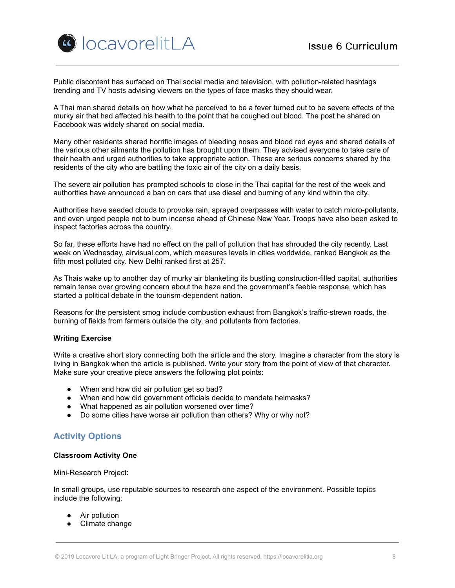

Public discontent has surfaced on Thai social media and television, with pollution-related hashtags trending and TV hosts advising viewers on the types of face masks they should wear.

A Thai man shared details on how what he perceived to be a fever turned out to be severe effects of the murky air that had affected his health to the point that he coughed out blood. The post he shared on Facebook was widely shared on social media.

Many other residents shared horrific images of bleeding noses and blood red eyes and shared details of the various other ailments the pollution has brought upon them. They advised everyone to take care of their health and urged authorities to take appropriate action. These are serious concerns shared by the residents of the city who are battling the toxic air of the city on a daily basis.

The severe air pollution has prompted schools to close in the Thai capital for the rest of the week and authorities have announced a ban on cars that use diesel and burning of any kind within the city.

Authorities have seeded clouds to provoke rain, sprayed overpasses with water to catch micro-pollutants, and even urged people not to burn incense ahead of Chinese New Year. Troops have also been asked to inspect factories across the country.

So far, these efforts have had no effect on the pall of pollution that has shrouded the city recently. Last week on Wednesday, airvisual.com, which measures levels in cities worldwide, ranked Bangkok as the fifth most polluted city. New Delhi ranked first at 257.

As Thais wake up to another day of murky air blanketing its bustling construction-filled capital, authorities remain tense over growing concern about the haze and the government's feeble response, which has started a political debate in the tourism-dependent nation.

Reasons for the persistent smog include combustion exhaust from Bangkok's traffic-strewn roads, the burning of fields from farmers outside the city, and pollutants from factories.

### **Writing Exercise**

Write a creative short story connecting both the article and the story. Imagine a character from the story is living in Bangkok when the article is published. Write your story from the point of view of that character. Make sure your creative piece answers the following plot points:

- When and how did air pollution get so bad?
- When and how did government officials decide to mandate helmasks?
- What happened as air pollution worsened over time?
- Do some cities have worse air pollution than others? Why or why not?

# **Activity Options**

### **Classroom Activity One**

#### Mini-Research Project:

In small groups, use reputable sources to research one aspect of the environment. Possible topics include the following:

- Air pollution
- Climate change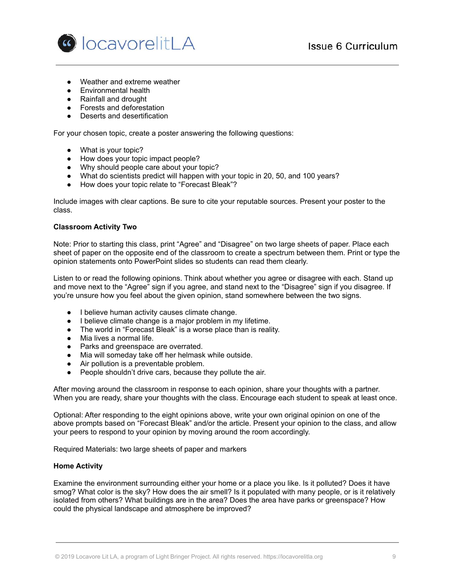

- Weather and extreme weather
- Environmental health
- Rainfall and drought
- Forests and deforestation
- Deserts and desertification

For your chosen topic, create a poster answering the following questions:

- What is your topic?
- How does your topic impact people?
- Why should people care about your topic?
- What do scientists predict will happen with your topic in 20, 50, and 100 years?
- How does your topic relate to "Forecast Bleak"?

Include images with clear captions. Be sure to cite your reputable sources. Present your poster to the class.

### **Classroom Activity Two**

Note: Prior to starting this class, print "Agree" and "Disagree" on two large sheets of paper. Place each sheet of paper on the opposite end of the classroom to create a spectrum between them. Print or type the opinion statements onto PowerPoint slides so students can read them clearly.

Listen to or read the following opinions. Think about whether you agree or disagree with each. Stand up and move next to the "Agree" sign if you agree, and stand next to the "Disagree" sign if you disagree. If you're unsure how you feel about the given opinion, stand somewhere between the two signs.

- I believe human activity causes climate change.
- I believe climate change is a major problem in my lifetime.
- The world in "Forecast Bleak" is a worse place than is reality.
- Mia lives a normal life.
- Parks and greenspace are overrated.
- Mia will someday take off her helmask while outside.
- Air pollution is a preventable problem.
- People shouldn't drive cars, because they pollute the air.

After moving around the classroom in response to each opinion, share your thoughts with a partner. When you are ready, share your thoughts with the class. Encourage each student to speak at least once.

Optional: After responding to the eight opinions above, write your own original opinion on one of the above prompts based on "Forecast Bleak" and/or the article. Present your opinion to the class, and allow your peers to respond to your opinion by moving around the room accordingly.

Required Materials: two large sheets of paper and markers

### **Home Activity**

Examine the environment surrounding either your home or a place you like. Is it polluted? Does it have smog? What color is the sky? How does the air smell? Is it populated with many people, or is it relatively isolated from others? What buildings are in the area? Does the area have parks or greenspace? How could the physical landscape and atmosphere be improved?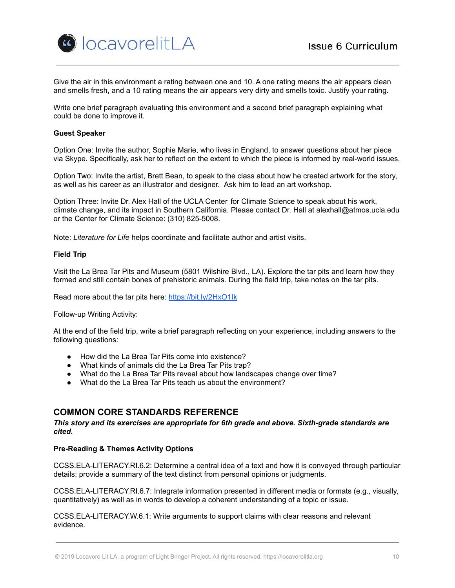

Give the air in this environment a rating between one and 10. A one rating means the air appears clean and smells fresh, and a 10 rating means the air appears very dirty and smells toxic. Justify your rating.

Write one brief paragraph evaluating this environment and a second brief paragraph explaining what could be done to improve it.

#### **Guest Speaker**

Option One: Invite the author, Sophie Marie, who lives in England, to answer questions about her piece via Skype. Specifically, ask her to reflect on the extent to which the piece is informed by real-world issues.

Option Two: Invite the artist, Brett Bean, to speak to the class about how he created artwork for the story, as well as his career as an illustrator and designer. Ask him to lead an art workshop.

Option Three: Invite Dr. Alex Hall of the UCLA Center for Climate Science to speak about his work, climate change, and its impact in Southern California. Please contact Dr. Hall at [alexhall@atmos.ucla.edu](mailto:alexhall@atmos.ucla.edu) or the Center for Climate Science: (310) 825-5008.

Note: *Literature for Life* helps coordinate and facilitate author and artist visits.

#### **Field Trip**

Visit the La Brea Tar Pits and Museum (5801 Wilshire Blvd., LA). Explore the tar pits and learn how they formed and still contain bones of prehistoric animals. During the field trip, take notes on the tar pits.

Read more about the tar pits here: <https://bit.ly/2HxO1Ik>

Follow-up Writing Activity:

At the end of the field trip, write a brief paragraph reflecting on your experience, including answers to the following questions:

- How did the La Brea Tar Pits come into existence?
- What kinds of animals did the La Brea Tar Pits trap?
- What do the La Brea Tar Pits reveal about how landscapes change over time?
- What do the La Brea Tar Pits teach us about the environment?

# **COMMON CORE STANDARDS REFERENCE**

*This story and its exercises are appropriate for 6th grade and above. Sixth-grade standards are cited.*

### **Pre-Reading & Themes Activity Options**

CCSS.ELA-LITERACY.RI.6.2: Determine a central idea of a text and how it is conveyed through particular details; provide a summary of the text distinct from personal opinions or judgments.

CCSS.ELA-LITERACY.RI.6.7: Integrate information presented in different media or formats (e.g., visually, quantitatively) as well as in words to develop a coherent understanding of a topic or issue.

CCSS.ELA-LITERACY.W.6.1: Write arguments to support claims with clear reasons and relevant evidence.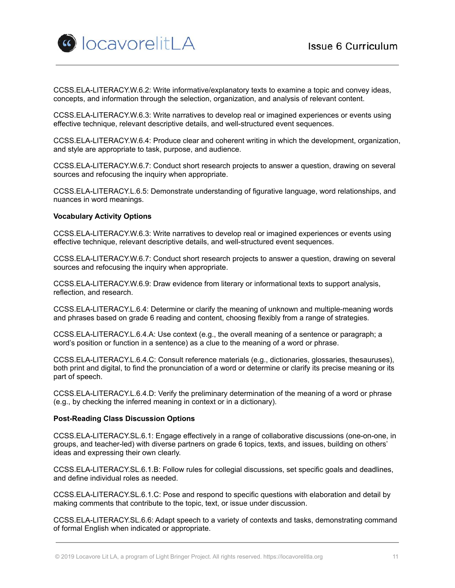

CCSS.ELA-LITERACY.W.6.2: Write informative/explanatory texts to examine a topic and convey ideas, concepts, and information through the selection, organization, and analysis of relevant content.

CCSS.ELA-LITERACY.W.6.3: Write narratives to develop real or imagined experiences or events using effective technique, relevant descriptive details, and well-structured event sequences.

CCSS.ELA-LITERACY.W.6.4: Produce clear and coherent writing in which the development, organization, and style are appropriate to task, purpose, and audience.

CCSS.ELA-LITERACY.W.6.7: Conduct short research projects to answer a question, drawing on several sources and refocusing the inquiry when appropriate.

CCSS.ELA-LITERACY.L.6.5: Demonstrate understanding of figurative language, word relationships, and nuances in word meanings.

### **Vocabulary Activity Options**

CCSS.ELA-LITERACY.W.6.3: Write narratives to develop real or imagined experiences or events using effective technique, relevant descriptive details, and well-structured event sequences.

CCSS.ELA-LITERACY.W.6.7: Conduct short research projects to answer a question, drawing on several sources and refocusing the inquiry when appropriate.

CCSS.ELA-LITERACY.W.6.9: Draw evidence from literary or informational texts to support analysis, reflection, and research.

CCSS.ELA-LITERACY.L.6.4: Determine or clarify the meaning of unknown and multiple-meaning words and phrases based on grade 6 reading and content, choosing flexibly from a range of strategies.

CCSS.ELA-LITERACY.L.6.4.A: Use context (e.g., the overall meaning of a sentence or paragraph; a word's position or function in a sentence) as a clue to the meaning of a word or phrase.

CCSS.ELA-LITERACY.L.6.4.C: Consult reference materials (e.g., dictionaries, glossaries, thesauruses), both print and digital, to find the pronunciation of a word or determine or clarify its precise meaning or its part of speech.

CCSS.ELA-LITERACY.L.6.4.D: Verify the preliminary determination of the meaning of a word or phrase (e.g., by checking the inferred meaning in context or in a dictionary).

#### **Post-Reading Class Discussion Options**

CCSS.ELA-LITERACY.SL.6.1: Engage effectively in a range of collaborative discussions (one-on-one, in groups, and teacher-led) with diverse partners on grade 6 topics, texts, and issues, building on others' ideas and expressing their own clearly.

CCSS.ELA-LITERACY.SL.6.1.B: Follow rules for collegial discussions, set specific goals and deadlines, and define individual roles as needed.

CCSS.ELA-LITERACY.SL.6.1.C: Pose and respond to specific questions with elaboration and detail by making comments that contribute to the topic, text, or issue under discussion.

CCSS.ELA-LITERACY.SL.6.6: Adapt speech to a variety of contexts and tasks, demonstrating command of formal English when indicated or appropriate.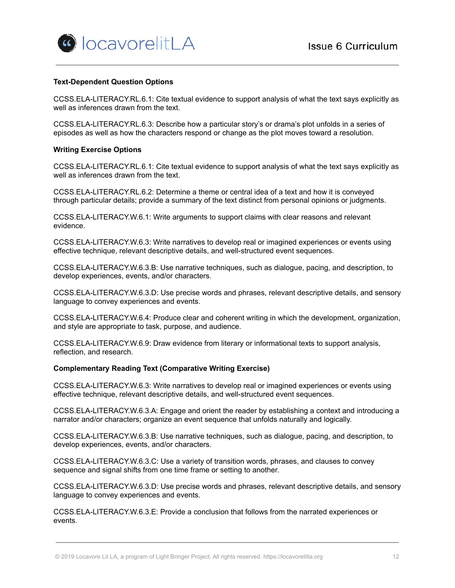

### **Text-Dependent Question Options**

CCSS.ELA-LITERACY.RL.6.1: Cite textual evidence to support analysis of what the text says explicitly as well as inferences drawn from the text.

CCSS.ELA-LITERACY.RL.6.3: Describe how a particular story's or drama's plot unfolds in a series of episodes as well as how the characters respond or change as the plot moves toward a resolution.

#### **Writing Exercise Options**

CCSS.ELA-LITERACY.RL.6.1: Cite textual evidence to support analysis of what the text says explicitly as well as inferences drawn from the text.

CCSS.ELA-LITERACY.RL.6.2: Determine a theme or central idea of a text and how it is conveyed through particular details; provide a summary of the text distinct from personal opinions or judgments.

CCSS.ELA-LITERACY.W.6.1: Write arguments to support claims with clear reasons and relevant evidence.

CCSS.ELA-LITERACY.W.6.3: Write narratives to develop real or imagined experiences or events using effective technique, relevant descriptive details, and well-structured event sequences.

CCSS.ELA-LITERACY.W.6.3.B: Use narrative techniques, such as dialogue, pacing, and description, to develop experiences, events, and/or characters.

CCSS.ELA-LITERACY.W.6.3.D: Use precise words and phrases, relevant descriptive details, and sensory language to convey experiences and events.

CCSS.ELA-LITERACY.W.6.4: Produce clear and coherent writing in which the development, organization, and style are appropriate to task, purpose, and audience.

CCSS.ELA-LITERACY.W.6.9: Draw evidence from literary or informational texts to support analysis, reflection, and research.

#### **Complementary Reading Text (Comparative Writing Exercise)**

CCSS.ELA-LITERACY.W.6.3: Write narratives to develop real or imagined experiences or events using effective technique, relevant descriptive details, and well-structured event sequences.

CCSS.ELA-LITERACY.W.6.3.A: Engage and orient the reader by establishing a context and introducing a narrator and/or characters; organize an event sequence that unfolds naturally and logically.

CCSS.ELA-LITERACY.W.6.3.B: Use narrative techniques, such as dialogue, pacing, and description, to develop experiences, events, and/or characters.

CCSS.ELA-LITERACY.W.6.3.C: Use a variety of transition words, phrases, and clauses to convey sequence and signal shifts from one time frame or setting to another.

CCSS.ELA-LITERACY.W.6.3.D: Use precise words and phrases, relevant descriptive details, and sensory language to convey experiences and events.

CCSS.ELA-LITERACY.W.6.3.E: Provide a conclusion that follows from the narrated experiences or events.